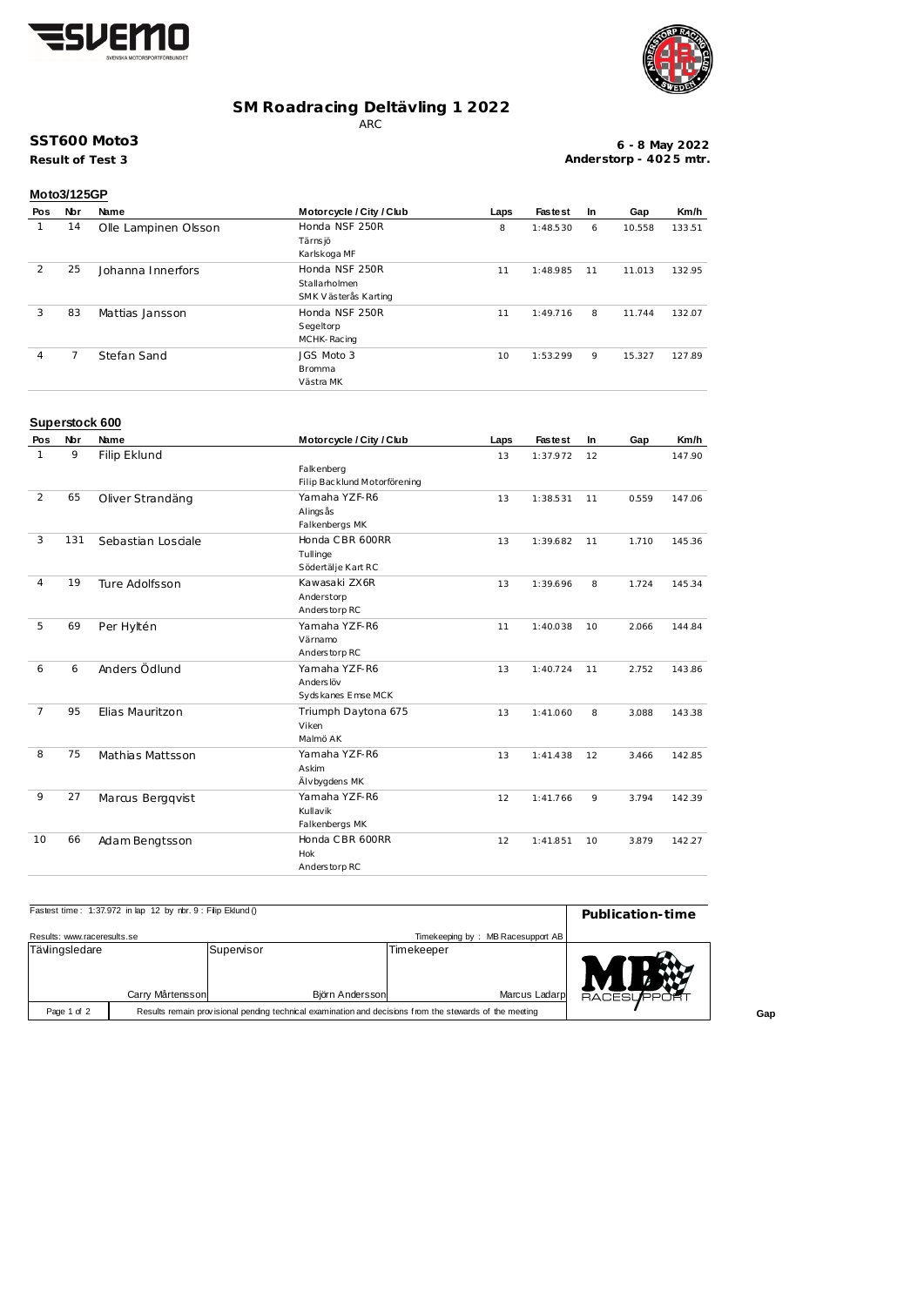



## **SM Roadracing Deltävling 1 2022**

ARC

## **SST600 Moto3**

**Result of Test 3**

**6 - 8 May 2022 Anderstorp - 402 5 mtr.**

|     | Moto3/125GP |                      |                          |      |                |     |        |        |  |
|-----|-------------|----------------------|--------------------------|------|----------------|-----|--------|--------|--|
| Pos | Nbr         | Name                 | Motorcycle / City / Club | Laps | <b>Fastest</b> | In. | Gap    | Km/h   |  |
|     | 14          | Olle Lampinen Olsson | Honda NSF 250R           | 8    | 1:48.530       | 6   | 10.558 | 133.51 |  |
|     |             |                      | Tärns jö                 |      |                |     |        |        |  |
|     |             |                      | Karlskoga MF             |      |                |     |        |        |  |
| 2   | 25          | Johanna Innerfors    | Honda NSF 250R           | 11   | 1:48.985       | 11  | 11.013 | 132.95 |  |
|     |             |                      | Stallarholmen            |      |                |     |        |        |  |
|     |             |                      | SMK Västerås Karting     |      |                |     |        |        |  |
| 3   | 83          | Mattias Jansson      | Honda NSF 250R           | 11   | 1:49.716       | 8   | 11.744 | 132.07 |  |
|     |             |                      | Segeltorp                |      |                |     |        |        |  |
|     |             |                      | MCHK-Racing              |      |                |     |        |        |  |
| 4   | 7           | Stefan Sand          | JGS Moto 3               | 10   | 1:53.299       | 9   | 15.327 | 127.89 |  |
|     |             |                      | <b>Bromma</b>            |      |                |     |        |        |  |
|     |             |                      | Västra MK                |      |                |     |        |        |  |

#### **Superstock 600**

| Pos            | Nbr | Name               | Motorcycle / City / Club     | Laps | <b>Fastest</b> | In | Gap   | Km/h   |
|----------------|-----|--------------------|------------------------------|------|----------------|----|-------|--------|
| 1              | 9   | Filip Eklund       |                              | 13   | 1:37.972       | 12 |       | 147.90 |
|                |     |                    | Falkenberg                   |      |                |    |       |        |
|                |     |                    | Filip Backlund Motorförening |      |                |    |       |        |
| 2              | 65  | Oliver Strandäng   | Yamaha YZF-R6                | 13   | 1:38.531       | 11 | 0.559 | 147.06 |
|                |     |                    | Alings ås                    |      |                |    |       |        |
|                |     |                    | Falkenbergs MK               |      |                |    |       |        |
| 3              | 131 | Sebastian Losciale | Honda CBR 600RR              | 13   | 1:39.682       | 11 | 1.710 | 145.36 |
|                |     |                    | Tullinge                     |      |                |    |       |        |
|                |     |                    | Södertälje Kart RC           |      |                |    |       |        |
| $\overline{4}$ | 19  | Ture Adolfsson     | Kawasaki ZX6R                | 13   | 1:39.696       | 8  | 1.724 | 145.34 |
|                |     |                    | Anderstorp                   |      |                |    |       |        |
|                |     |                    | Anderstorp RC                |      |                |    |       |        |
| 5              | 69  | Per Hyltén         | Yamaha YZF-R6                | 11   | 1:40.038       | 10 | 2.066 | 144.84 |
|                |     |                    | Värnamo                      |      |                |    |       |        |
|                |     |                    | Anderstorp RC                |      |                |    |       |        |
| 6              | 6   | Anders Ödlund      | Yamaha YZF-R6                | 13   | 1:40.724       | 11 | 2.752 | 143.86 |
|                |     |                    | Anders löv                   |      |                |    |       |        |
|                |     |                    | Sydskanes Emse MCK           |      |                |    |       |        |
| $\overline{7}$ | 95  | Elias Mauritzon    | Triumph Daytona 675          | 13   | 1:41.060       | 8  | 3.088 | 143.38 |
|                |     |                    | Viken                        |      |                |    |       |        |
|                |     |                    | Malmö AK                     |      |                |    |       |        |
| 8              | 75  | Mathias Mattsson   | Yamaha YZF-R6                | 13   | 1:41.438       | 12 | 3.466 | 142.85 |
|                |     |                    | Askim                        |      |                |    |       |        |
|                |     |                    | Älvbygdens MK                |      |                |    |       |        |
| 9              | 27  | Marcus Bergqvist   | Yamaha YZF-R6                | 12   | 1:41.766       | 9  | 3.794 | 142.39 |
|                |     |                    | Kullavik                     |      |                |    |       |        |
|                |     |                    | Falkenbergs MK               |      |                |    |       |        |
| 10             | 66  | Adam Bengtsson     | Honda CBR 600RR              | 12   | 1:41.851       | 10 | 3.879 | 142.27 |
|                |     |                    | <b>Hok</b>                   |      |                |    |       |        |
|                |     |                    | Anderstorp RC                |      |                |    |       |        |

| Fastest time: 1:37.972 in lap 12 by rbr. 9 : Filip Eklund () | Publication-time                                                                                        |                    |                                                       |  |
|--------------------------------------------------------------|---------------------------------------------------------------------------------------------------------|--------------------|-------------------------------------------------------|--|
| Results: www.raceresults.se                                  |                                                                                                         |                    | Timekeeping by: MB Racesupport AB                     |  |
| Tävlingsledare<br>Carry Mårtensson                           |                                                                                                         | Supervisor         | <b>Timekeeper</b><br>Marcus Ladarp<br>Björn Andersson |  |
| Page 1 of 2                                                  | Results remain provisional pending technical examination and decisions from the stewards of the meeting | <b>RACESLIFPOR</b> |                                                       |  |

**Gap**